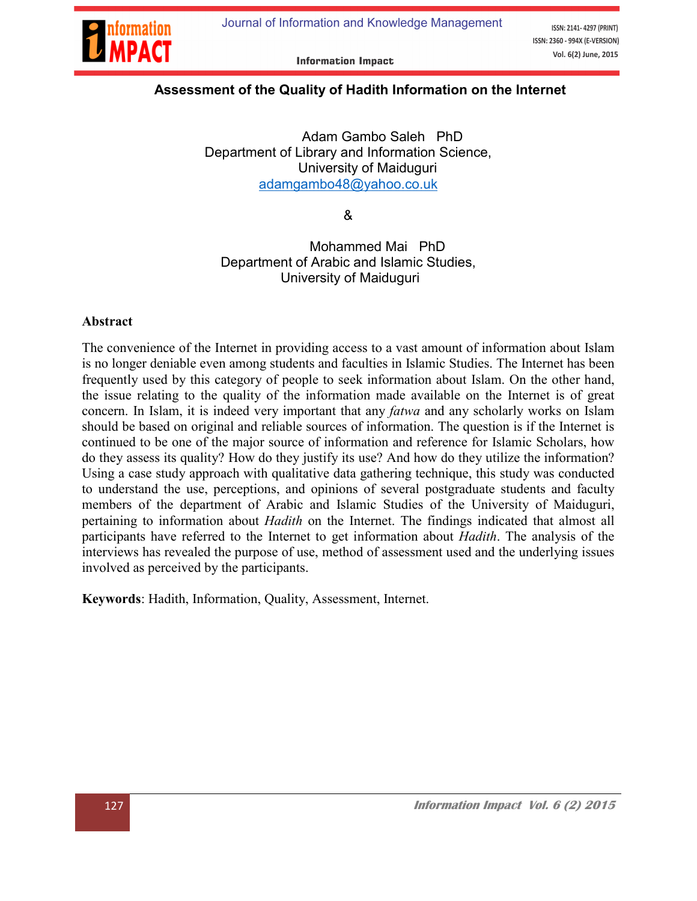ISSN: 2141-4297 (PRINT) Vol. 6(2) June, 2015

#### Assessment of the Quality of Hadith Information on the Internet

 Adam Gambo Saleh PhD Department of Library and Information Science, University of Maiduguri adamgambo48@yahoo.co.uk

[&](mailto:adamgambo48@yahoo.co.uk)

 Mohammed Mai PhD Department of Arabic and Islamic Studies, University of Maiduguri

#### **Abstract**

The convenience of the Internet in providing access to a vast amount of information about Islam is no longer deniable even among students and faculties in Islamic Studies. The Internet has been frequently used by this category of people to seek information about Islam. On the other hand, the issue relating to the quality of the information made available on the Internet is of great concern. In Islam, it is indeed very important that any *fatwa* and any scholarly works on Islam should be based on original and reliable sources of information. The question is if the Internet is continued to be one of the major source of information and reference for Islamic Scholars, how do they assess its quality? How do they justify its use? And how do they utilize the information? Using a case study approach with qualitative data gathering technique, this study was conducted to understand the use, perceptions, and opinions of several postgraduate students and faculty members of the department of Arabic and Islamic Studies of the University of Maiduguri, pertaining to information about *Hadith* on the Internet. The findings indicated that almost all participants have referred to the Internet to get information about *Hadith*. The analysis of the interviews has revealed the purpose of use, method of assessment used and the underlying issues involved as perceived by the participants.

Keywords: Hadith, Information, Quality, Assessment, Internet.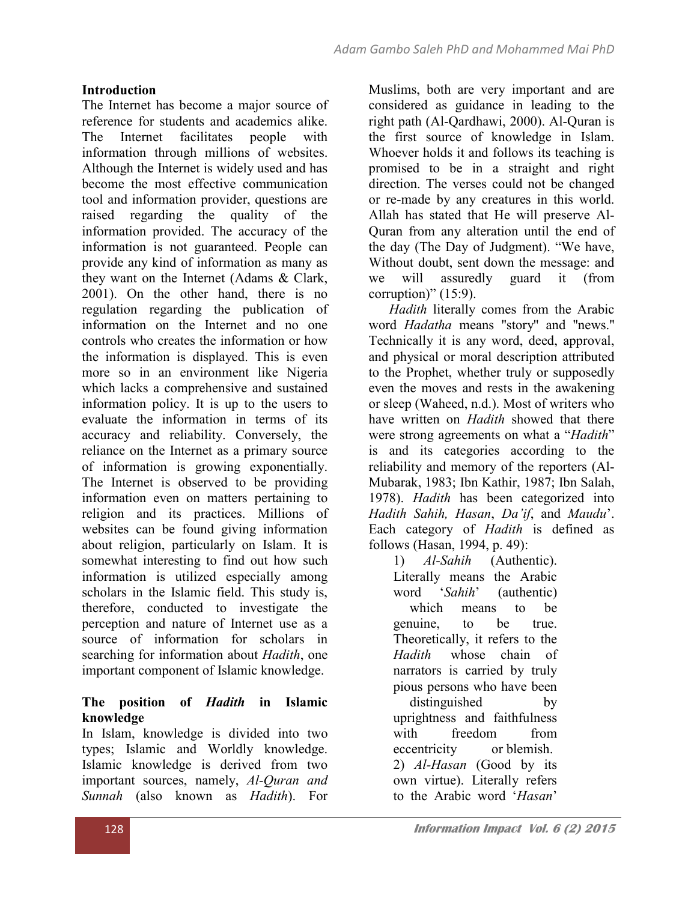## Introduction

The Internet has become a major source of reference for students and academics alike. The Internet facilitates people with information through millions of websites. Although the Internet is widely used and has become the most effective communication tool and information provider, questions are raised regarding the quality of the information provided. The accuracy of the information is not guaranteed. People can provide any kind of information as many as they want on the Internet (Adams & Clark, 2001). On the other hand, there is no regulation regarding the publication of information on the Internet and no one controls who creates the information or how the information is displayed. This is even more so in an environment like Nigeria which lacks a comprehensive and sustained information policy. It is up to the users to evaluate the information in terms of its accuracy and reliability. Conversely, the reliance on the Internet as a primary source of information is growing exponentially. The Internet is observed to be providing information even on matters pertaining to religion and its practices. Millions of websites can be found giving information about religion, particularly on Islam. It is somewhat interesting to find out how such information is utilized especially among scholars in the Islamic field. This study is, therefore, conducted to investigate the perception and nature of Internet use as a source of information for scholars in searching for information about *Hadith*, one important component of Islamic knowledge.

#### The position of *Hadith* in Islamic knowledge

In Islam, knowledge is divided into two types; Islamic and Worldly knowledge. Islamic knowledge is derived from two important sources, namely, *Al-Quran and Sunnah* (also known as *Hadith*). For

Muslims, both are very important and are considered as guidance in leading to the right path (Al-Qardhawi, 2000). Al-Quran is the first source of knowledge in Islam. Whoever holds it and follows its teaching is promised to be in a straight and right direction. The verses could not be changed or re-made by any creatures in this world. Allah has stated that He will preserve Al-Quran from any alteration until the end of the day (The Day of Judgment). "We have, Without doubt, sent down the message: and we will assuredly guard it (from corruption)" (15:9).

 *Hadith* literally comes from the Arabic word *Hadatha* means ''story'' and ''news.'' Technically it is any word, deed, approval, and physical or moral description attributed to the Prophet, whether truly or supposedly even the moves and rests in the awakening or sleep (Waheed, n.d.). Most of writers who have written on *Hadith* showed that there were strong agreements on what a "*Hadith*" is and its categories according to the reliability and memory of the reporters (Al-Mubarak, 1983; Ibn Kathir, 1987; Ibn Salah, 1978). *Hadith* has been categorized into *Hadith Sahih, Hasan*, *Da'if*, and *Maudu*'. Each category of *Hadith* is defined as follows (Hasan, 1994, p. 49):

1) *Al-Sahih* (Authentic). Literally means the Arabic word '*Sahih*' (authentic) which means to be genuine, to be true. Theoretically, it refers to the *Hadith* whose chain of narrators is carried by truly pious persons who have been distinguished by uprightness and faithfulness with freedom from eccentricity or blemish. 2) *Al-Hasan* (Good by its own virtue). Literally refers to the Arabic word '*Hasan*'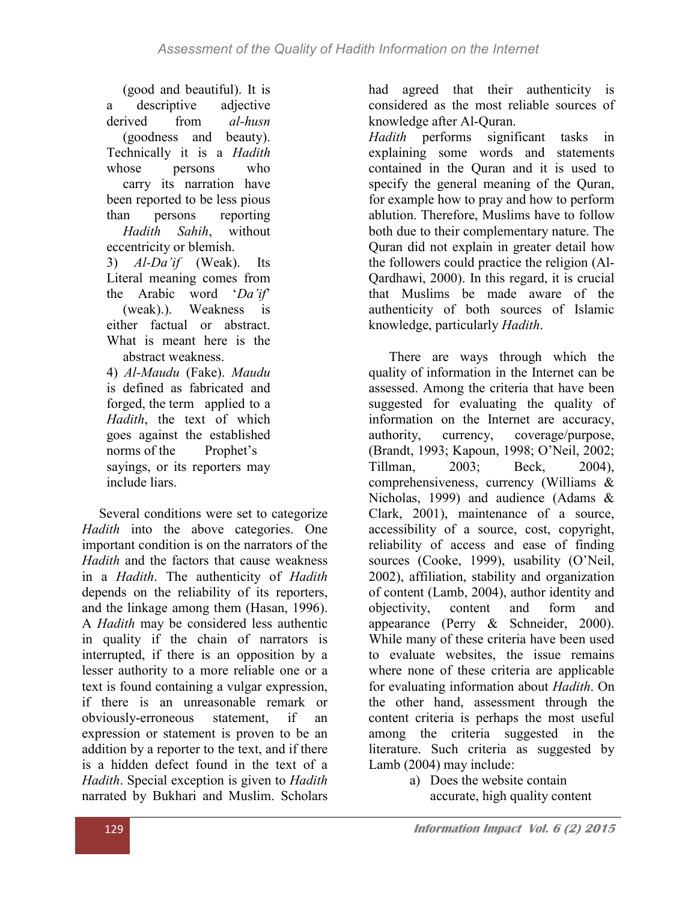(good and beautiful). It is a descriptive adjective derived from *al-husn* (goodness and beauty). Technically it is a *Hadith* whose persons who carry its narration have been reported to be less pious than persons reporting *Hadith Sahih*, without eccentricity or blemish. 3) *Al-Da'if* (Weak). Its Literal meaning comes from the Arabic word '*Da'if*' (weak).). Weakness is either factual or abstract. What is meant here is the abstract weakness. 4) *Al-Maudu* (Fake). *Maudu* is defined as fabricated and forged, the term applied to a *Hadith*, the text of which goes against the established norms of the Prophet's sayings, or its reporters may include liars.

 Several conditions were set to categorize *Hadith* into the above categories. One important condition is on the narrators of the *Hadith* and the factors that cause weakness in a *Hadith*. The authenticity of *Hadith* depends on the reliability of its reporters, and the linkage among them (Hasan, 1996). A *Hadith* may be considered less authentic in quality if the chain of narrators is interrupted, if there is an opposition by a lesser authority to a more reliable one or a text is found containing a vulgar expression, if there is an unreasonable remark or obviously-erroneous statement, if an expression or statement is proven to be an addition by a reporter to the text, and if there is a hidden defect found in the text of a *Hadith*. Special exception is given to *Hadith* narrated by Bukhari and Muslim. Scholars

had agreed that their authenticity is considered as the most reliable sources of knowledge after Al-Quran.

*Hadith* performs significant tasks in explaining some words and statements contained in the Quran and it is used to specify the general meaning of the Quran, for example how to pray and how to perform ablution. Therefore, Muslims have to follow both due to their complementary nature. The Quran did not explain in greater detail how the followers could practice the religion (Al-Qardhawi, 2000). In this regard, it is crucial that Muslims be made aware of the authenticity of both sources of Islamic knowledge, particularly *Hadith*.

 There are ways through which the quality of information in the Internet can be assessed. Among the criteria that have been suggested for evaluating the quality of information on the Internet are accuracy, authority, currency, coverage/purpose, (Brandt, 1993; Kapoun, 1998; O'Neil, 2002; Tillman, 2003; Beck, 2004), comprehensiveness, currency (Williams & Nicholas, 1999) and audience (Adams & Clark, 2001), maintenance of a source, accessibility of a source, cost, copyright, reliability of access and ease of finding sources (Cooke, 1999), usability (O'Neil, 2002), affiliation, stability and organization of content (Lamb, 2004), author identity and objectivity, content and form and appearance (Perry & Schneider, 2000). While many of these criteria have been used to evaluate websites, the issue remains where none of these criteria are applicable for evaluating information about *Hadith*. On the other hand, assessment through the content criteria is perhaps the most useful among the criteria suggested in the literature. Such criteria as suggested by Lamb (2004) may include:

a) Does the website contain accurate, high quality content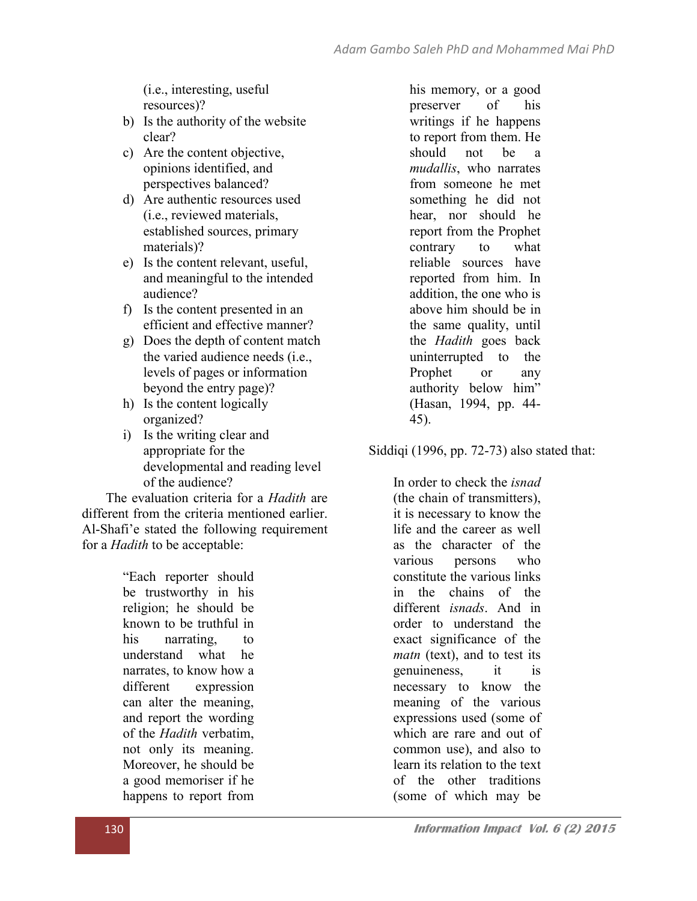(i.e., interesting, useful resources)?

- b) Is the authority of the website clear?
- c) Are the content objective, opinions identified, and perspectives balanced?
- d) Are authentic resources used (i.e., reviewed materials, established sources, primary materials)?
- e) Is the content relevant, useful, and meaningful to the intended audience?
- f) Is the content presented in an efficient and effective manner?
- g) Does the depth of content match the varied audience needs (i.e., levels of pages or information beyond the entry page)?
- h) Is the content logically organized?
- i) Is the writing clear and appropriate for the developmental and reading level of the audience?

 The evaluation criteria for a *Hadith* are different from the criteria mentioned earlier. Al-Shafi'e stated the following requirement for a *Hadith* to be acceptable:

> "Each reporter should be trustworthy in his religion; he should be known to be truthful in his narrating, to understand what he narrates, to know how a different expression can alter the meaning, and report the wording of the *Hadith* verbatim, not only its meaning. Moreover, he should be a good memoriser if he happens to report from

his memory, or a good preserver of his writings if he happens to report from them. He should not be a *mudallis*, who narrates from someone he met something he did not hear, nor should he report from the Prophet contrary to what reliable sources have reported from him. In addition, the one who is above him should be in the same quality, until the *Hadith* goes back uninterrupted to the Prophet or any authority below him" (Hasan, 1994, pp. 44- 45).

Siddiqi (1996, pp. 72-73) also stated that:

In order to check the *isnad* (the chain of transmitters), it is necessary to know the life and the career as well as the character of the various persons who constitute the various links in the chains of the different *isnads*. And in order to understand the exact significance of the *matn* (text), and to test its genuineness, it is necessary to know the meaning of the various expressions used (some of which are rare and out of common use), and also to learn its relation to the text of the other traditions (some of which may be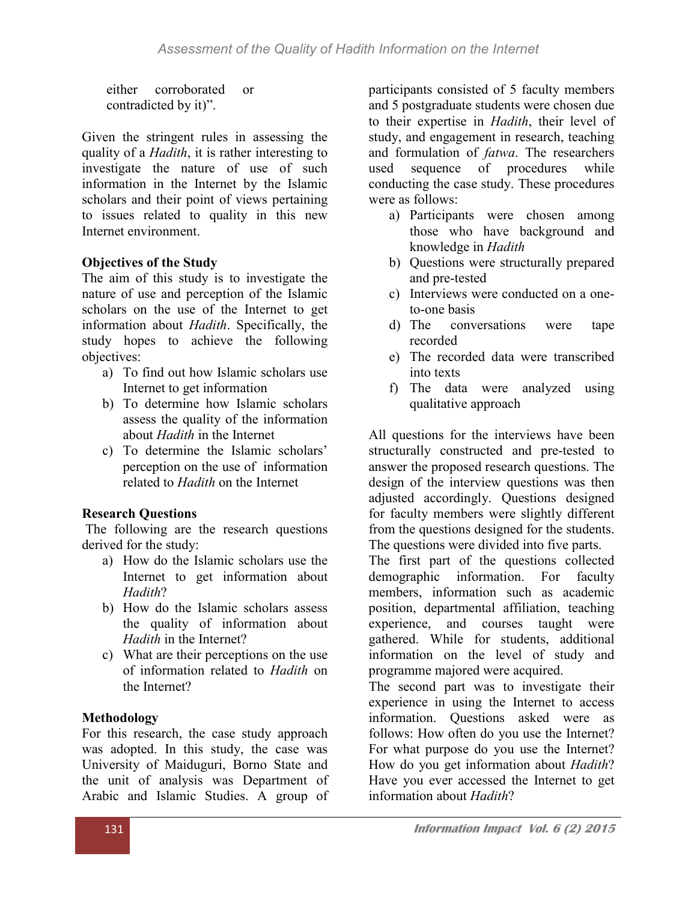either corroborated or contradicted by it)".

Given the stringent rules in assessing the quality of a *Hadith*, it is rather interesting to investigate the nature of use of such information in the Internet by the Islamic scholars and their point of views pertaining to issues related to quality in this new Internet environment.

# Objectives of the Study

The aim of this study is to investigate the nature of use and perception of the Islamic scholars on the use of the Internet to get information about *Hadith*. Specifically, the study hopes to achieve the following objectives:

- a) To find out how Islamic scholars use Internet to get information
- b) To determine how Islamic scholars assess the quality of the information about *Hadith* in the Internet
- c) To determine the Islamic scholars' perception on the use of information related to *Hadith* on the Internet

# Research Questions

The following are the research questions derived for the study:

- a) How do the Islamic scholars use the Internet to get information about *Hadith*?
- b) How do the Islamic scholars assess the quality of information about *Hadith* in the Internet?
- c) What are their perceptions on the use of information related to *Hadith* on the Internet?

# Methodology

For this research, the case study approach was adopted. In this study, the case was University of Maiduguri, Borno State and the unit of analysis was Department of Arabic and Islamic Studies. A group of

participants consisted of 5 faculty members and 5 postgraduate students were chosen due to their expertise in *Hadith*, their level of study, and engagement in research, teaching and formulation of *fatwa*. The researchers used sequence of procedures while conducting the case study. These procedures were as follows:

- a) Participants were chosen among those who have background and knowledge in *Hadith*
- b) Questions were structurally prepared and pre-tested
- c) Interviews were conducted on a oneto-one basis
- d) The conversations were tape recorded
- e) The recorded data were transcribed into texts
- f) The data were analyzed using qualitative approach

All questions for the interviews have been structurally constructed and pre-tested to answer the proposed research questions. The design of the interview questions was then adjusted accordingly. Questions designed for faculty members were slightly different from the questions designed for the students. The questions were divided into five parts.

The first part of the questions collected demographic information. For faculty members, information such as academic position, departmental affiliation, teaching experience, and courses taught were gathered. While for students, additional information on the level of study and programme majored were acquired.

The second part was to investigate their experience in using the Internet to access information. Questions asked were as follows: How often do you use the Internet? For what purpose do you use the Internet? How do you get information about *Hadith*? Have you ever accessed the Internet to get information about *Hadith*?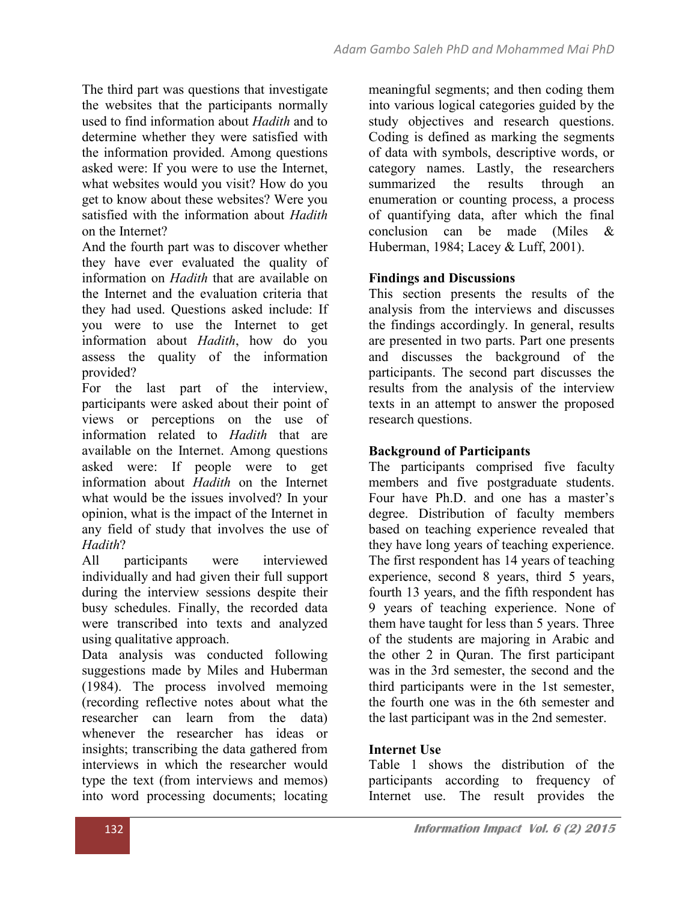The third part was questions that investigate the websites that the participants normally used to find information about *Hadith* and to determine whether they were satisfied with the information provided. Among questions asked were: If you were to use the Internet, what websites would you visit? How do you get to know about these websites? Were you satisfied with the information about *Hadith* on the Internet?

And the fourth part was to discover whether they have ever evaluated the quality of information on *Hadith* that are available on the Internet and the evaluation criteria that they had used. Questions asked include: If you were to use the Internet to get information about *Hadith*, how do you assess the quality of the information provided?

For the last part of the interview, participants were asked about their point of views or perceptions on the use of information related to *Hadith* that are available on the Internet. Among questions asked were: If people were to get information about *Hadith* on the Internet what would be the issues involved? In your opinion, what is the impact of the Internet in any field of study that involves the use of *Hadith*?

All participants were interviewed individually and had given their full support during the interview sessions despite their busy schedules. Finally, the recorded data were transcribed into texts and analyzed using qualitative approach.

Data analysis was conducted following suggestions made by Miles and Huberman (1984). The process involved memoing (recording reflective notes about what the researcher can learn from the data) whenever the researcher has ideas or insights; transcribing the data gathered from interviews in which the researcher would type the text (from interviews and memos) into word processing documents; locating

meaningful segments; and then coding them into various logical categories guided by the study objectives and research questions. Coding is defined as marking the segments of data with symbols, descriptive words, or category names. Lastly, the researchers summarized the results through an enumeration or counting process, a process of quantifying data, after which the final conclusion can be made (Miles & Huberman, 1984; Lacey & Luff, 2001).

## Findings and Discussions

This section presents the results of the analysis from the interviews and discusses the findings accordingly. In general, results are presented in two parts. Part one presents and discusses the background of the participants. The second part discusses the results from the analysis of the interview texts in an attempt to answer the proposed research questions.

## Background of Participants

The participants comprised five faculty members and five postgraduate students. Four have Ph.D. and one has a master's degree. Distribution of faculty members based on teaching experience revealed that they have long years of teaching experience. The first respondent has 14 years of teaching experience, second 8 years, third 5 years, fourth 13 years, and the fifth respondent has 9 years of teaching experience. None of them have taught for less than 5 years. Three of the students are majoring in Arabic and the other 2 in Quran. The first participant was in the 3rd semester, the second and the third participants were in the 1st semester, the fourth one was in the 6th semester and the last participant was in the 2nd semester.

## Internet Use

Table 1 shows the distribution of the participants according to frequency of Internet use. The result provides the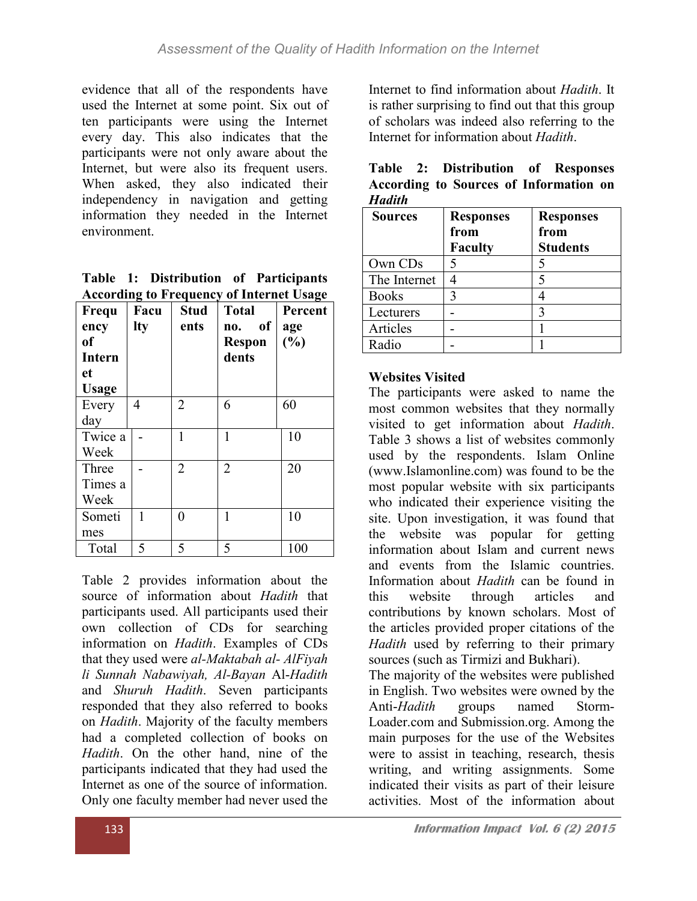evidence that all of the respondents have used the Internet at some point. Six out of ten participants were using the Internet every day. This also indicates that the participants were not only aware about the Internet, but were also its frequent users. When asked, they also indicated their independency in navigation and getting information they needed in the Internet environment.

|  |  |  | Table 1: Distribution of Participants           |
|--|--|--|-------------------------------------------------|
|  |  |  | <b>According to Frequency of Internet Usage</b> |

| Frequ                 | Facu | <b>Stud</b>    | <b>Total</b><br>of   | Percent    |
|-----------------------|------|----------------|----------------------|------------|
| ency<br><sub>of</sub> | lty  | ents           | no.<br><b>Respon</b> | age<br>(%) |
| Intern                |      |                | dents                |            |
| et                    |      |                |                      |            |
| <b>Usage</b>          |      |                |                      |            |
| Every                 | 4    | $\overline{2}$ | 6                    | 60         |
| day                   |      |                |                      |            |
| Twice a               |      | 1              | 1                    | 10         |
| Week                  |      |                |                      |            |
| Three                 |      | 2              | $\overline{2}$       | 20         |
| Times a               |      |                |                      |            |
| Week                  |      |                |                      |            |
| Someti                | 1    | 0              | 1                    | 10         |
| mes                   |      |                |                      |            |
| Total                 | 5    | 5              | 5                    | 100        |

Table 2 provides information about the source of information about *Hadith* that participants used. All participants used their own collection of CDs for searching information on *Hadith*. Examples of CDs that they used were *al-Maktabah al- AlFiyah li Sunnah Nabawiyah, Al-Bayan* Al-*Hadith* and *Shuruh Hadith*. Seven participants responded that they also referred to books on *Hadith*. Majority of the faculty members had a completed collection of books on *Hadith*. On the other hand, nine of the participants indicated that they had used the Internet as one of the source of information. Only one faculty member had never used the

Internet to find information about *Hadith*. It is rather surprising to find out that this group of scholars was indeed also referring to the Internet for information about *Hadith*.

|        |  | Table 2: Distribution of Responses            |  |  |
|--------|--|-----------------------------------------------|--|--|
|        |  | <b>According to Sources of Information on</b> |  |  |
| Hadith |  |                                               |  |  |

| <b>Sources</b>      | <b>Responses</b><br>from<br><b>Faculty</b> | <b>Responses</b><br>from<br><b>Students</b> |
|---------------------|--------------------------------------------|---------------------------------------------|
| Own CD <sub>s</sub> | 5                                          |                                             |
| The Internet        |                                            |                                             |
| <b>Books</b>        | 3                                          |                                             |
| Lecturers           |                                            |                                             |
| Articles            |                                            |                                             |
| Radio               |                                            |                                             |

## Websites Visited

The participants were asked to name the most common websites that they normally visited to get information about *Hadith*. Table 3 shows a list of websites commonly used by the respondents. Islam Online (www.Islamonline.com) was found to be the most popular website with six participants who indicated their experience visiting the site. Upon investigation, it was found that the website was popular for getting information about Islam and current news and events from the Islamic countries. Information about *Hadith* can be found in this website through articles and contributions by known scholars. Most of the articles provided proper citations of the *Hadith* used by referring to their primary sources (such as Tirmizi and Bukhari). The majority of the websites were published in English. Two websites were owned by the Anti-*Hadith* groups named Storm-Loader.com and Submission.org. Among the main purposes for the use of the Websites were to assist in teaching, research, thesis writing, and writing assignments. Some indicated their visits as part of their leisure

activities. Most of the information about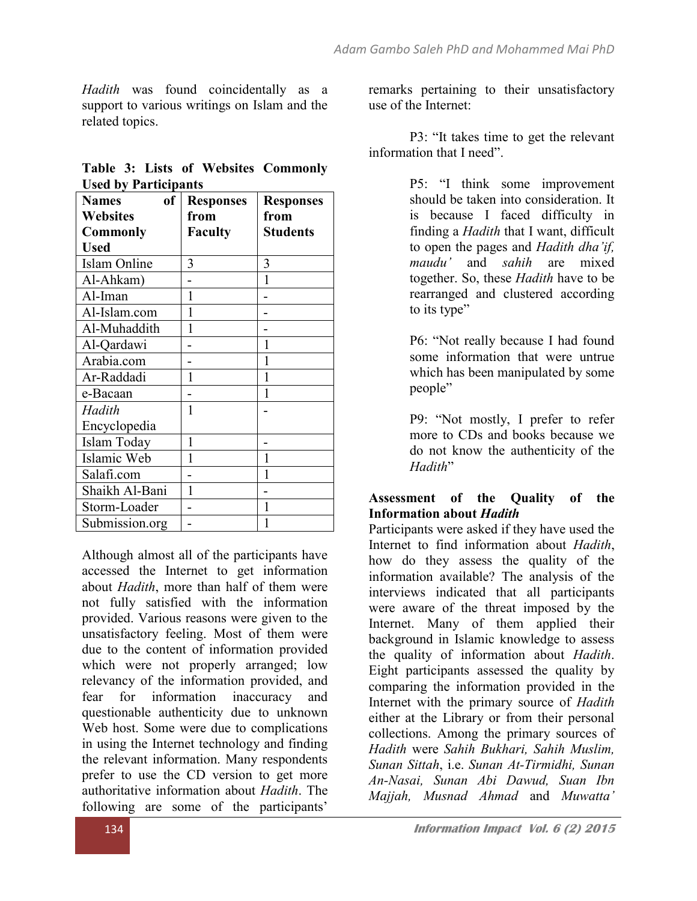*Hadith* was found coincidentally as a support to various writings on Islam and the related topics.

|                             |  |  | Table 3: Lists of Websites Commonly |
|-----------------------------|--|--|-------------------------------------|
| <b>Used by Participants</b> |  |  |                                     |

| <b>Names</b><br><sub>of</sub> | <b>Responses</b> | <b>Responses</b> |
|-------------------------------|------------------|------------------|
| <b>Websites</b>               | from             | from             |
| <b>Commonly</b>               | <b>Faculty</b>   | <b>Students</b>  |
| Used                          |                  |                  |
| Islam Online                  | 3                | 3                |
| Al-Ahkam)                     |                  | 1                |
| Al-Iman                       | 1                |                  |
| Al-Islam.com                  | 1                |                  |
| Al-Muhaddith                  | 1                |                  |
| Al-Qardawi                    |                  | 1                |
| Arabia.com                    |                  | 1                |
| Ar-Raddadi                    | 1                | 1                |
| e-Bacaan                      |                  | 1                |
| Hadith                        | 1                |                  |
| Encyclopedia                  |                  |                  |
| Islam Today                   | 1                |                  |
| Islamic Web                   | 1                | 1                |
| Salafi.com                    |                  |                  |
| Shaikh Al-Bani                | 1                |                  |
| Storm-Loader                  |                  |                  |
| Submission.org                |                  |                  |

Although almost all of the participants have accessed the Internet to get information about *Hadith*, more than half of them were not fully satisfied with the information provided. Various reasons were given to the unsatisfactory feeling. Most of them were due to the content of information provided which were not properly arranged; low relevancy of the information provided, and fear for information inaccuracy and questionable authenticity due to unknown Web host. Some were due to complications in using the Internet technology and finding the relevant information. Many respondents prefer to use the CD version to get more authoritative information about *Hadith*. The following are some of the participants'

remarks pertaining to their unsatisfactory use of the Internet:

P3: "It takes time to get the relevant information that I need".

> P5: "I think some improvement should be taken into consideration. It is because I faced difficulty in finding a *Hadith* that I want, difficult to open the pages and *Hadith dha'if, maudu'* and *sahih* are mixed together. So, these *Hadith* have to be rearranged and clustered according to its type"

> P6: "Not really because I had found some information that were untrue which has been manipulated by some people"

> P9: "Not mostly, I prefer to refer more to CDs and books because we do not know the authenticity of the *Hadith*"

## Assessment of the Quality of the Information about *Hadith*

Participants were asked if they have used the Internet to find information about *Hadith*, how do they assess the quality of the information available? The analysis of the interviews indicated that all participants were aware of the threat imposed by the Internet. Many of them applied their background in Islamic knowledge to assess the quality of information about *Hadith*. Eight participants assessed the quality by comparing the information provided in the Internet with the primary source of *Hadith* either at the Library or from their personal collections. Among the primary sources of *Hadith* were *Sahih Bukhari, Sahih Muslim, Sunan Sittah*, i.e. *Sunan At-Tirmidhi, Sunan An-Nasai, Sunan Abi Dawud, Suan Ibn Majjah, Musnad Ahmad* and *Muwatta'*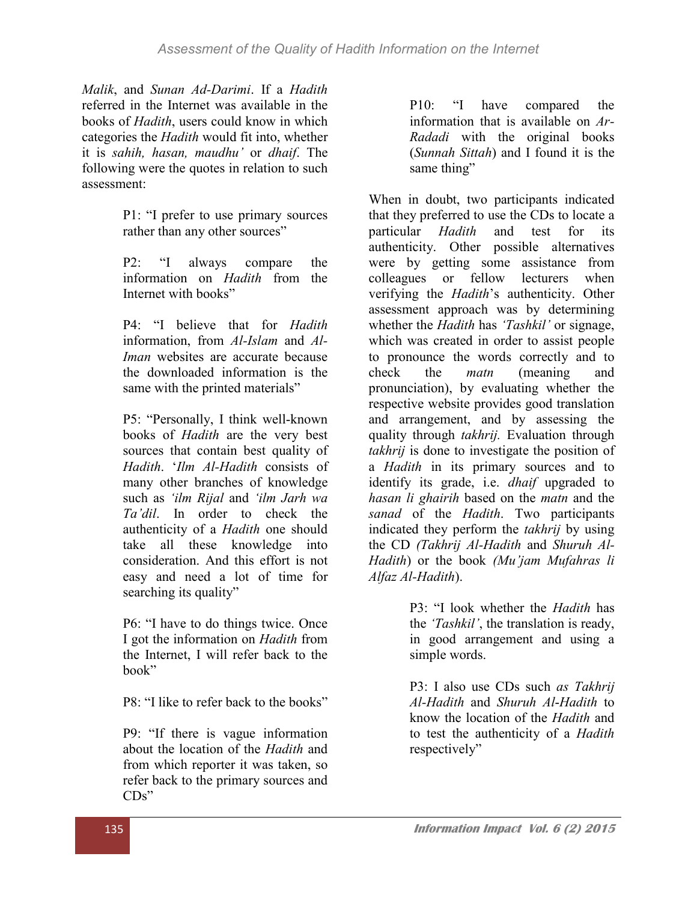*Malik*, and *Sunan Ad-Darimi*. If a *Hadith* referred in the Internet was available in the books of *Hadith*, users could know in which categories the *Hadith* would fit into, whether it is *sahih, hasan, maudhu'* or *dhaif*. The following were the quotes in relation to such assessment:

> P1: "I prefer to use primary sources rather than any other sources"

P2: "I always compare the information on *Hadith* from the Internet with books"

P4: "I believe that for *Hadith* information, from *Al-Islam* and *Al-Iman* websites are accurate because the downloaded information is the same with the printed materials"

P5: "Personally, I think well-known books of *Hadith* are the very best sources that contain best quality of *Hadith*. '*Ilm Al-Hadith* consists of many other branches of knowledge such as *'ilm Rijal* and *'ilm Jarh wa Ta'dil*. In order to check the authenticity of a *Hadith* one should take all these knowledge into consideration. And this effort is not easy and need a lot of time for searching its quality"

P6: "I have to do things twice. Once I got the information on *Hadith* from the Internet, I will refer back to the book"

P8: "I like to refer back to the books"

P9: "If there is vague information about the location of the *Hadith* and from which reporter it was taken, so refer back to the primary sources and CDs"

P10: "I have compared the information that is available on *Ar-Radadi* with the original books (*Sunnah Sittah*) and I found it is the same thing"

When in doubt, two participants indicated that they preferred to use the CDs to locate a particular *Hadith* and test for its authenticity. Other possible alternatives were by getting some assistance from colleagues or fellow lecturers when verifying the *Hadith*'s authenticity. Other assessment approach was by determining whether the *Hadith* has *'Tashkil'* or signage, which was created in order to assist people to pronounce the words correctly and to check the *matn* (meaning and pronunciation), by evaluating whether the respective website provides good translation and arrangement, and by assessing the quality through *takhrij.* Evaluation through *takhrij* is done to investigate the position of a *Hadith* in its primary sources and to identify its grade, i.e. *dhaif* upgraded to *hasan li ghairih* based on the *matn* and the *sanad* of the *Hadith*. Two participants indicated they perform the *takhrij* by using the CD *(Takhrij Al-Hadith* and *Shuruh Al-Hadith*) or the book *(Mu'jam Mufahras li Alfaz Al-Hadith*).

> P3: "I look whether the *Hadith* has the *'Tashkil'*, the translation is ready, in good arrangement and using a simple words.

> P3: I also use CDs such *as Takhrij Al-Hadith* and *Shuruh Al*-*Hadith* to know the location of the *Hadith* and to test the authenticity of a *Hadith* respectively"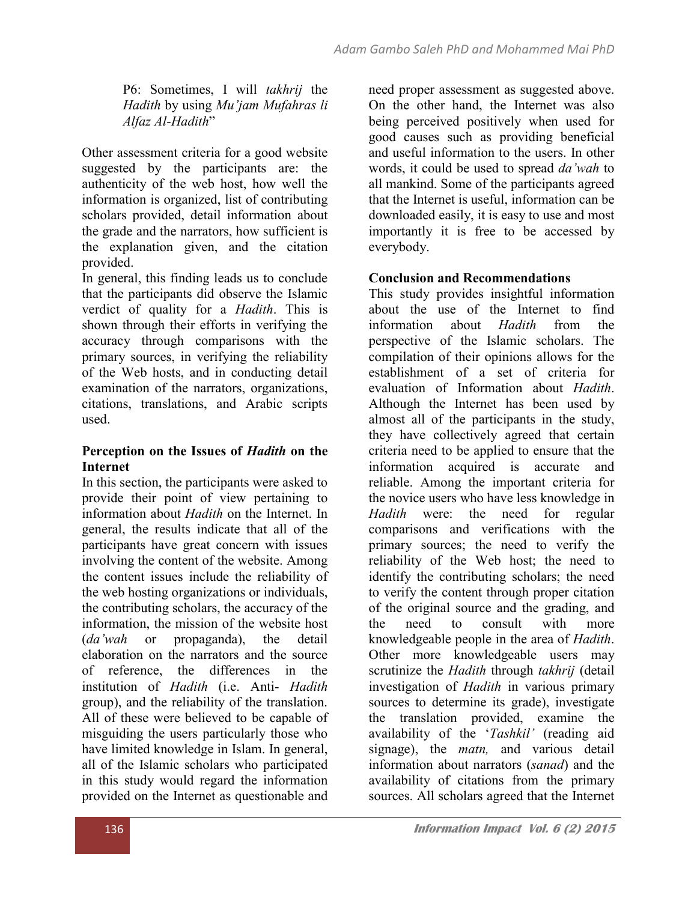P6: Sometimes, I will *takhrij* the *Hadith* by using *Mu'jam Mufahras li Alfaz Al-Hadith*"

Other assessment criteria for a good website suggested by the participants are: the authenticity of the web host, how well the information is organized, list of contributing scholars provided, detail information about the grade and the narrators, how sufficient is the explanation given, and the citation provided.

In general, this finding leads us to conclude that the participants did observe the Islamic verdict of quality for a *Hadith*. This is shown through their efforts in verifying the accuracy through comparisons with the primary sources, in verifying the reliability of the Web hosts, and in conducting detail examination of the narrators, organizations, citations, translations, and Arabic scripts used.

### Perception on the Issues of *Hadith* on the **Internet**

In this section, the participants were asked to provide their point of view pertaining to information about *Hadith* on the Internet. In general, the results indicate that all of the participants have great concern with issues involving the content of the website. Among the content issues include the reliability of the web hosting organizations or individuals, the contributing scholars, the accuracy of the information, the mission of the website host (*da'wah* or propaganda), the detail elaboration on the narrators and the source of reference, the differences in the institution of *Hadith* (i.e. Anti- *Hadith* group), and the reliability of the translation. All of these were believed to be capable of misguiding the users particularly those who have limited knowledge in Islam. In general, all of the Islamic scholars who participated in this study would regard the information provided on the Internet as questionable and

need proper assessment as suggested above. On the other hand, the Internet was also being perceived positively when used for good causes such as providing beneficial and useful information to the users. In other words, it could be used to spread *da'wah* to all mankind. Some of the participants agreed that the Internet is useful, information can be downloaded easily, it is easy to use and most importantly it is free to be accessed by everybody.

## Conclusion and Recommendations

This study provides insightful information about the use of the Internet to find information about *Hadith* from the perspective of the Islamic scholars. The compilation of their opinions allows for the establishment of a set of criteria for evaluation of Information about *Hadith*. Although the Internet has been used by almost all of the participants in the study, they have collectively agreed that certain criteria need to be applied to ensure that the information acquired is accurate and reliable. Among the important criteria for the novice users who have less knowledge in *Hadith* were: the need for regular comparisons and verifications with the primary sources; the need to verify the reliability of the Web host; the need to identify the contributing scholars; the need to verify the content through proper citation of the original source and the grading, and the need to consult with more knowledgeable people in the area of *Hadith*. Other more knowledgeable users may scrutinize the *Hadith* through *takhrij* (detail investigation of *Hadith* in various primary sources to determine its grade), investigate the translation provided, examine the availability of the '*Tashkil'* (reading aid signage), the *matn,* and various detail information about narrators (*sanad*) and the availability of citations from the primary sources. All scholars agreed that the Internet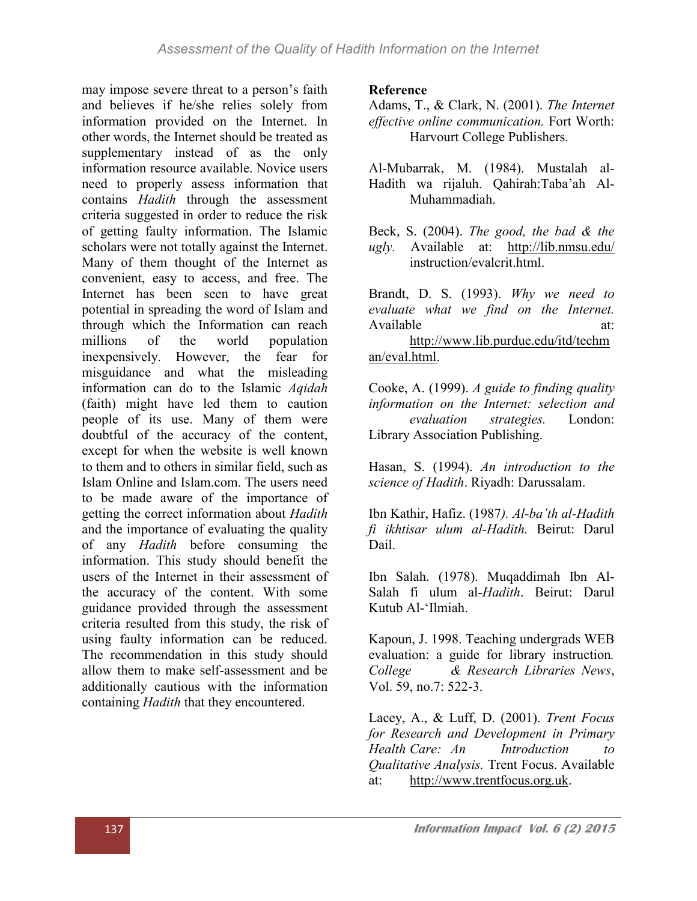may impose severe threat to a person's faith and believes if he/she relies solely from information provided on the Internet. In other words, the Internet should be treated as supplementary instead of as the only information resource available. Novice users need to properly assess information that contains *Hadith* through the assessment criteria suggested in order to reduce the risk of getting faulty information. The Islamic scholars were not totally against the Internet. Many of them thought of the Internet as convenient, easy to access, and free. The Internet has been seen to have great potential in spreading the word of Islam and through which the Information can reach millions of the world population inexpensively. However, the fear for misguidance and what the misleading information can do to the Islamic *Aqidah* (faith) might have led them to caution people of its use. Many of them were doubtful of the accuracy of the content, except for when the website is well known to them and to others in similar field, such as Islam Online and Islam.com. The users need to be made aware of the importance of getting the correct information about *Hadith* and the importance of evaluating the quality of any *Hadith* before consuming the information. This study should benefit the users of the Internet in their assessment of the accuracy of the content. With some guidance provided through the assessment criteria resulted from this study, the risk of using faulty information can be reduced. The recommendation in this study should allow them to make self-assessment and be additionally cautious with the information containing *Hadith* that they encountered.

### Reference

- Adams, T., & Clark, N. (2001). *The Internet effective online communication.* Fort Worth: Harvourt College Publishers.
- Al-Mubarrak, M. (1984). Mustalah al-Hadith wa rijaluh. Qahirah:Taba'ah Al-Muhammadiah.

Beck, S. (2004). *The good, the bad & the ugly.* Available at: http://lib.nmsu.edu/ instruction/evalcrit.html.

Brandt, D. S. (1993). *[Why we need to](http://lib.nmsu.edu/)  evaluate what we find on the Internet.* Available at: at:

http://www.lib.purdue.edu/itd/techm [an/eval.html.](http://www.lib.purdue.edu/itd/techman/eval.html)

Cooke, A. (1999). *[A guide to finding quality](http://www.lib.purdue.edu/itd/techman/eval.html)  information on the Internet: selection and evaluation strategies.* London: Library Association Publishing.

Hasan, S. (1994). *An introduction to the science of Hadith*. Riyadh: Darussalam.

Ibn Kathir, Hafiz. (1987*). Al-ba'th al-Hadith fi ikhtisar ulum al-Hadith.* Beirut: Darul Dail.

Ibn Salah. (1978). Muqaddimah Ibn Al-Salah fi ulum al-*Hadith*. Beirut: Darul Kutub Al-'Ilmiah.

Kapoun, J. 1998. Teaching undergrads WEB evaluation: a guide for library instruction*. College & Research Libraries News*, Vol. 59, no.7: 522-3.

Lacey, A., & Luff, D. (2001). *Trent Focus for Research and Development in Primary Health Care: An Introduction to Qualitative Analysis.* Trent Focus. Available at: http://www.trentfocus.org.uk.